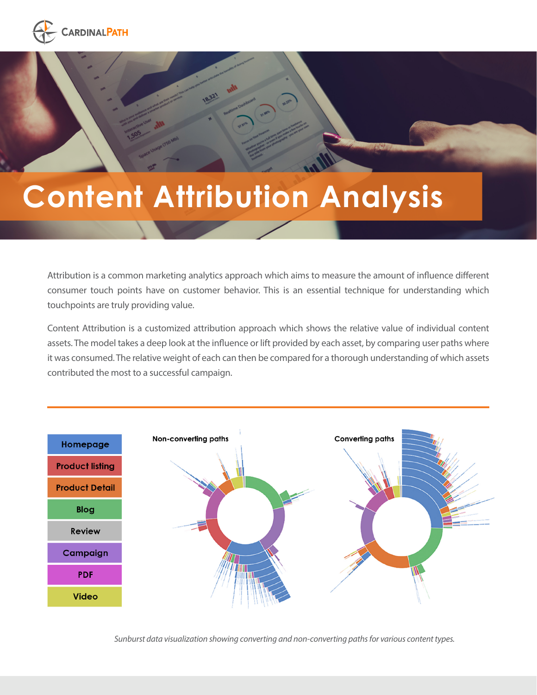

# **Content Attribution Analysis**

Attribution is a common marketing analytics approach which aims to measure the amount of influence different consumer touch points have on customer behavior. This is an essential technique for understanding which touchpoints are truly providing value.

Content Attribution is a customized attribution approach which shows the relative value of individual content assets. The model takes a deep look at the influence or lift provided by each asset, by comparing user paths where it was consumed. The relative weight of each can then be compared for a thorough understanding of which assets contributed the most to a successful campaign.



*Sunburst data visualization showing converting and non-converting paths for various content types.*